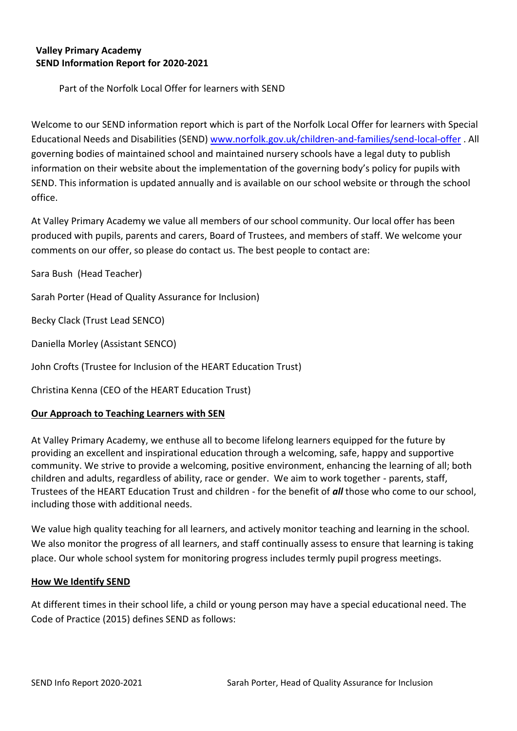# **Valley Primary Academy SEND Information Report for 2020-2021**

Part of the Norfolk Local Offer for learners with SEND

Welcome to our SEND information report which is part of the Norfolk Local Offer for learners with Special Educational Needs and Disabilities (SEND) [www.norfolk.gov.uk/children-and-families/send-local-offer](http://www.norfolk.gov.uk/children-and-families/send-local-offer) . All governing bodies of maintained school and maintained nursery schools have a legal duty to publish information on their website about the implementation of the governing body's policy for pupils with SEND. This information is updated annually and is available on our school website or through the school office.

At Valley Primary Academy we value all members of our school community. Our local offer has been produced with pupils, parents and carers, Board of Trustees, and members of staff. We welcome your comments on our offer, so please do contact us. The best people to contact are:

Sara Bush (Head Teacher)

Sarah Porter (Head of Quality Assurance for Inclusion)

Becky Clack (Trust Lead SENCO)

Daniella Morley (Assistant SENCO)

John Crofts (Trustee for Inclusion of the HEART Education Trust)

Christina Kenna (CEO of the HEART Education Trust)

#### **Our Approach to Teaching Learners with SEN**

At Valley Primary Academy, we enthuse all to become lifelong learners equipped for the future by providing an excellent and inspirational education through a welcoming, safe, happy and supportive community. We strive to provide a welcoming, positive environment, enhancing the learning of all; both children and adults, regardless of ability, race or gender. We aim to work together - parents, staff, Trustees of the HEART Education Trust and children - for the benefit of *all* those who come to our school, including those with additional needs.

We value high quality teaching for all learners, and actively monitor teaching and learning in the school. We also monitor the progress of all learners, and staff continually assess to ensure that learning is taking place. Our whole school system for monitoring progress includes termly pupil progress meetings.

#### **How We Identify SEND**

At different times in their school life, a child or young person may have a special educational need. The Code of Practice (2015) defines SEND as follows: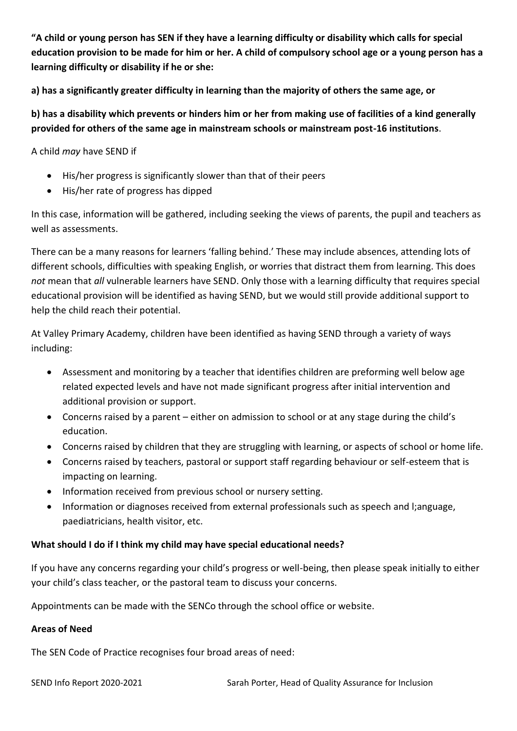**"A child or young person has SEN if they have a learning difficulty or disability which calls for special education provision to be made for him or her. A child of compulsory school age or a young person has a learning difficulty or disability if he or she:** 

**a) has a significantly greater difficulty in learning than the majority of others the same age, or**

**b) has a disability which prevents or hinders him or her from making use of facilities of a kind generally provided for others of the same age in mainstream schools or mainstream post-16 institutions**.

A child *may* have SEND if

- His/her progress is significantly slower than that of their peers
- His/her rate of progress has dipped

In this case, information will be gathered, including seeking the views of parents, the pupil and teachers as well as assessments.

There can be a many reasons for learners 'falling behind.' These may include absences, attending lots of different schools, difficulties with speaking English, or worries that distract them from learning. This does *not* mean that *all* vulnerable learners have SEND. Only those with a learning difficulty that requires special educational provision will be identified as having SEND, but we would still provide additional support to help the child reach their potential.

At Valley Primary Academy, children have been identified as having SEND through a variety of ways including:

- Assessment and monitoring by a teacher that identifies children are preforming well below age related expected levels and have not made significant progress after initial intervention and additional provision or support.
- Concerns raised by a parent either on admission to school or at any stage during the child's education.
- Concerns raised by children that they are struggling with learning, or aspects of school or home life.
- Concerns raised by teachers, pastoral or support staff regarding behaviour or self-esteem that is impacting on learning.
- Information received from previous school or nursery setting.
- Information or diagnoses received from external professionals such as speech and l;anguage, paediatricians, health visitor, etc.

# **What should I do if I think my child may have special educational needs?**

If you have any concerns regarding your child's progress or well-being, then please speak initially to either your child's class teacher, or the pastoral team to discuss your concerns.

Appointments can be made with the SENCo through the school office or website.

# **Areas of Need**

The SEN Code of Practice recognises four broad areas of need: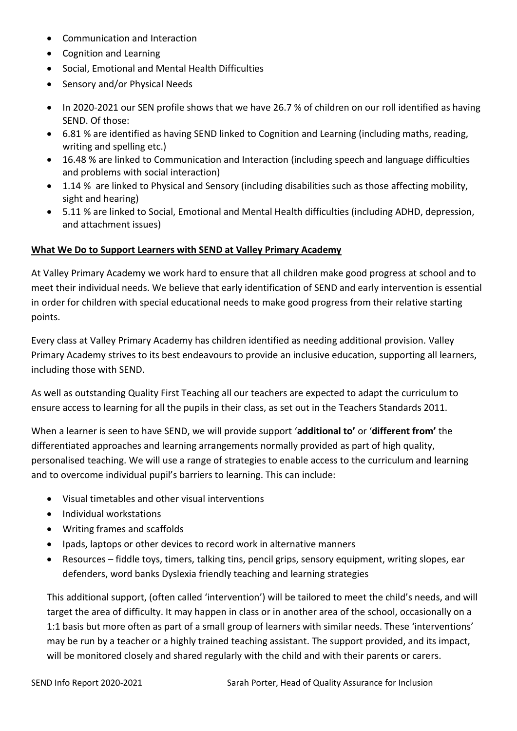- Communication and Interaction
- Cognition and Learning
- Social, Emotional and Mental Health Difficulties
- Sensory and/or Physical Needs
- In 2020-2021 our SEN profile shows that we have 26.7 % of children on our roll identified as having SEND. Of those:
- 6.81 % are identified as having SEND linked to Cognition and Learning (including maths, reading, writing and spelling etc.)
- 16.48 % are linked to Communication and Interaction (including speech and language difficulties and problems with social interaction)
- 1.14 % are linked to Physical and Sensory (including disabilities such as those affecting mobility, sight and hearing)
- 5.11 % are linked to Social, Emotional and Mental Health difficulties (including ADHD, depression, and attachment issues)

# **What We Do to Support Learners with SEND at Valley Primary Academy**

At Valley Primary Academy we work hard to ensure that all children make good progress at school and to meet their individual needs. We believe that early identification of SEND and early intervention is essential in order for children with special educational needs to make good progress from their relative starting points.

Every class at Valley Primary Academy has children identified as needing additional provision. Valley Primary Academy strives to its best endeavours to provide an inclusive education, supporting all learners, including those with SEND.

As well as outstanding Quality First Teaching all our teachers are expected to adapt the curriculum to ensure access to learning for all the pupils in their class, as set out in the Teachers Standards 2011.

When a learner is seen to have SEND, we will provide support '**additional to'** or '**different from'** the differentiated approaches and learning arrangements normally provided as part of high quality, personalised teaching. We will use a range of strategies to enable access to the curriculum and learning and to overcome individual pupil's barriers to learning. This can include:

- Visual timetables and other visual interventions
- Individual workstations
- Writing frames and scaffolds
- Ipads, laptops or other devices to record work in alternative manners
- Resources fiddle toys, timers, talking tins, pencil grips, sensory equipment, writing slopes, ear defenders, word banks Dyslexia friendly teaching and learning strategies

This additional support, (often called 'intervention') will be tailored to meet the child's needs, and will target the area of difficulty. It may happen in class or in another area of the school, occasionally on a 1:1 basis but more often as part of a small group of learners with similar needs. These 'interventions' may be run by a teacher or a highly trained teaching assistant. The support provided, and its impact, will be monitored closely and shared regularly with the child and with their parents or carers.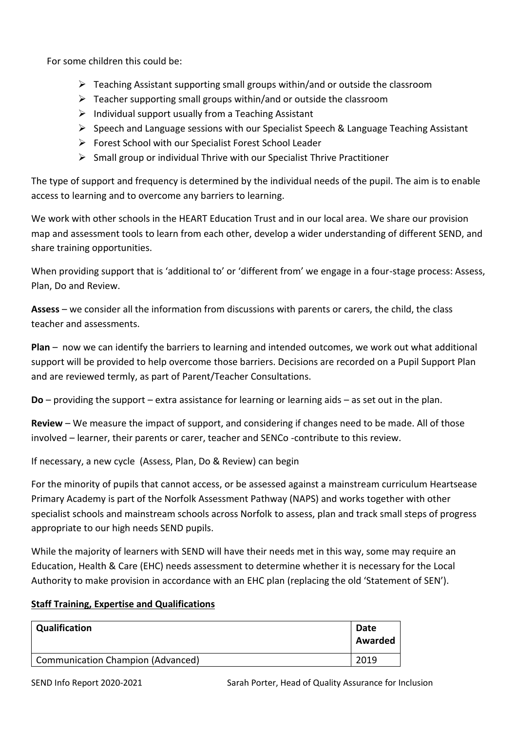For some children this could be:

- $\triangleright$  Teaching Assistant supporting small groups within/and or outside the classroom
- $\triangleright$  Teacher supporting small groups within/and or outside the classroom
- $\triangleright$  Individual support usually from a Teaching Assistant
- ➢ Speech and Language sessions with our Specialist Speech & Language Teaching Assistant
- ➢ Forest School with our Specialist Forest School Leader
- ➢ Small group or individual Thrive with our Specialist Thrive Practitioner

The type of support and frequency is determined by the individual needs of the pupil. The aim is to enable access to learning and to overcome any barriers to learning.

We work with other schools in the HEART Education Trust and in our local area. We share our provision map and assessment tools to learn from each other, develop a wider understanding of different SEND, and share training opportunities.

When providing support that is 'additional to' or 'different from' we engage in a four-stage process: Assess, Plan, Do and Review.

**Assess** – we consider all the information from discussions with parents or carers, the child, the class teacher and assessments.

**Plan** – now we can identify the barriers to learning and intended outcomes, we work out what additional support will be provided to help overcome those barriers. Decisions are recorded on a Pupil Support Plan and are reviewed termly, as part of Parent/Teacher Consultations.

**Do** – providing the support – extra assistance for learning or learning aids – as set out in the plan.

**Review** – We measure the impact of support, and considering if changes need to be made. All of those involved – learner, their parents or carer, teacher and SENCo -contribute to this review.

If necessary, a new cycle (Assess, Plan, Do & Review) can begin

For the minority of pupils that cannot access, or be assessed against a mainstream curriculum Heartsease Primary Academy is part of the Norfolk Assessment Pathway (NAPS) and works together with other specialist schools and mainstream schools across Norfolk to assess, plan and track small steps of progress appropriate to our high needs SEND pupils.

While the majority of learners with SEND will have their needs met in this way, some may require an Education, Health & Care (EHC) needs assessment to determine whether it is necessary for the Local Authority to make provision in accordance with an EHC plan (replacing the old 'Statement of SEN').

# **Staff Training, Expertise and Qualifications**

| Qualification                            | Date<br>Awarded |
|------------------------------------------|-----------------|
| <b>Communication Champion (Advanced)</b> | 2019            |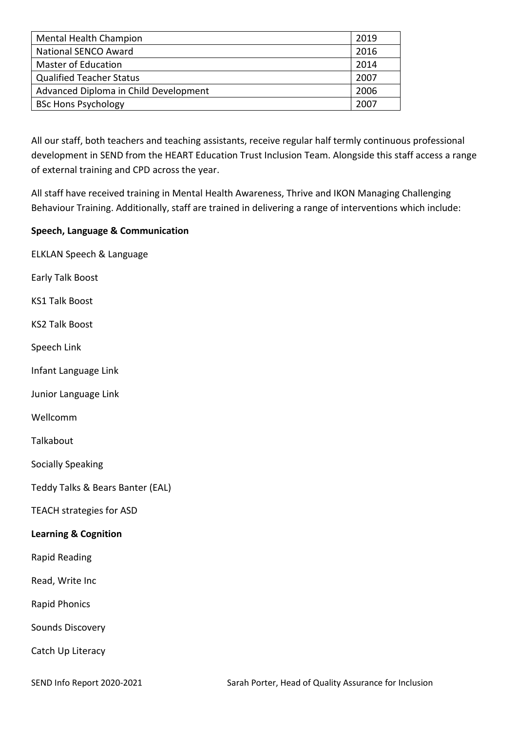| <b>Mental Health Champion</b>         | 2019 |
|---------------------------------------|------|
| <b>National SENCO Award</b>           | 2016 |
| <b>Master of Education</b>            | 2014 |
| <b>Qualified Teacher Status</b>       | 2007 |
| Advanced Diploma in Child Development | 2006 |
| <b>BSc Hons Psychology</b>            | 2007 |

All our staff, both teachers and teaching assistants, receive regular half termly continuous professional development in SEND from the HEART Education Trust Inclusion Team. Alongside this staff access a range of external training and CPD across the year.

All staff have received training in Mental Health Awareness, Thrive and IKON Managing Challenging Behaviour Training. Additionally, staff are trained in delivering a range of interventions which include:

# **Speech, Language & Communication**

ELKLAN Speech & Language Early Talk Boost KS1 Talk Boost KS2 Talk Boost Speech Link Infant Language Link Junior Language Link

Wellcomm

Talkabout

Socially Speaking

Teddy Talks & Bears Banter (EAL)

TEACH strategies for ASD

#### **Learning & Cognition**

Rapid Reading

Read, Write Inc

Rapid Phonics

Sounds Discovery

Catch Up Literacy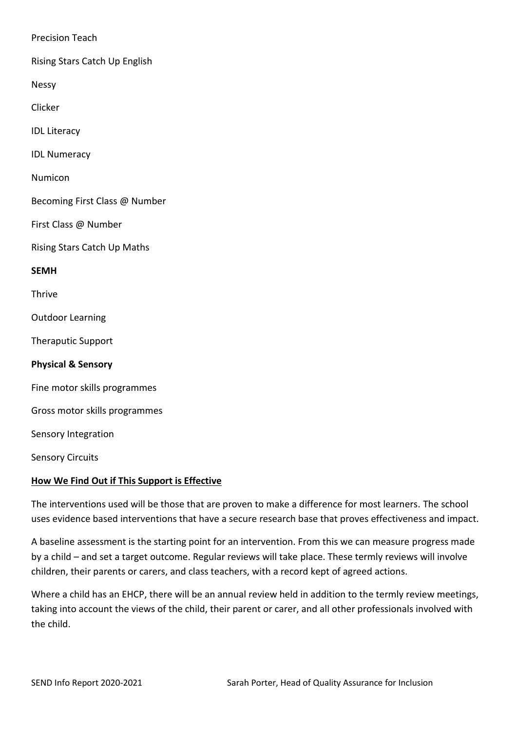Precision Teach

Rising Stars Catch Up English

Nessy

Clicker

IDL Literacy

IDL Numeracy

Numicon

Becoming First Class @ Number

First Class @ Number

Rising Stars Catch Up Maths

**SEMH**

Thrive

Outdoor Learning

Theraputic Support

**Physical & Sensory**

Fine motor skills programmes

Gross motor skills programmes

Sensory Integration

Sensory Circuits

#### **How We Find Out if This Support is Effective**

The interventions used will be those that are proven to make a difference for most learners. The school uses evidence based interventions that have a secure research base that proves effectiveness and impact.

A baseline assessment is the starting point for an intervention. From this we can measure progress made by a child – and set a target outcome. Regular reviews will take place. These termly reviews will involve children, their parents or carers, and class teachers, with a record kept of agreed actions.

Where a child has an EHCP, there will be an annual review held in addition to the termly review meetings, taking into account the views of the child, their parent or carer, and all other professionals involved with the child.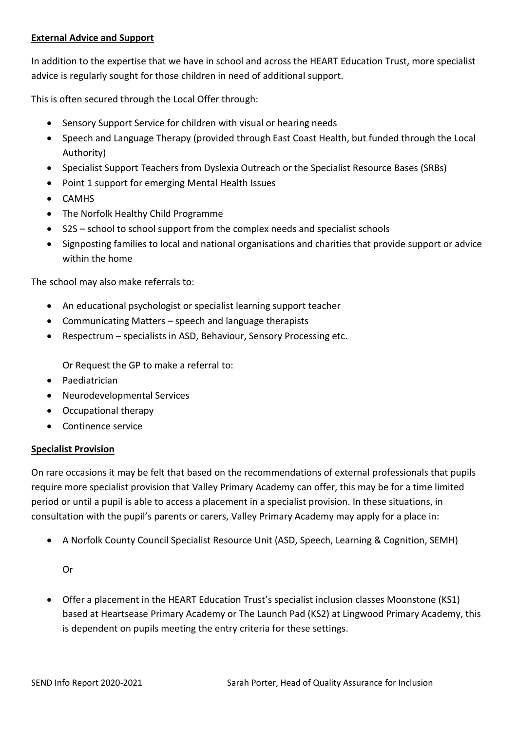# **External Advice and Support**

In addition to the expertise that we have in school and across the HEART Education Trust, more specialist advice is regularly sought for those children in need of additional support.

This is often secured through the Local Offer through:

- Sensory Support Service for children with visual or hearing needs
- Speech and Language Therapy (provided through East Coast Health, but funded through the Local Authority)
- Specialist Support Teachers from Dyslexia Outreach or the Specialist Resource Bases (SRBs)
- Point 1 support for emerging Mental Health Issues
- CAMHS
- The Norfolk Healthy Child Programme
- S2S school to school support from the complex needs and specialist schools
- Signposting families to local and national organisations and charities that provide support or advice within the home

The school may also make referrals to:

- An educational psychologist or specialist learning support teacher
- Communicating Matters speech and language therapists
- Respectrum specialists in ASD, Behaviour, Sensory Processing etc.

Or Request the GP to make a referral to:

- Paediatrician
- Neurodevelopmental Services
- Occupational therapy
- Continence service

#### **Specialist Provision**

On rare occasions it may be felt that based on the recommendations of external professionals that pupils require more specialist provision that Valley Primary Academy can offer, this may be for a time limited period or until a pupil is able to access a placement in a specialist provision. In these situations, in consultation with the pupil's parents or carers, Valley Primary Academy may apply for a place in:

• A Norfolk County Council Specialist Resource Unit (ASD, Speech, Learning & Cognition, SEMH)

Or

• Offer a placement in the HEART Education Trust's specialist inclusion classes Moonstone (KS1) based at Heartsease Primary Academy or The Launch Pad (KS2) at Lingwood Primary Academy, this is dependent on pupils meeting the entry criteria for these settings.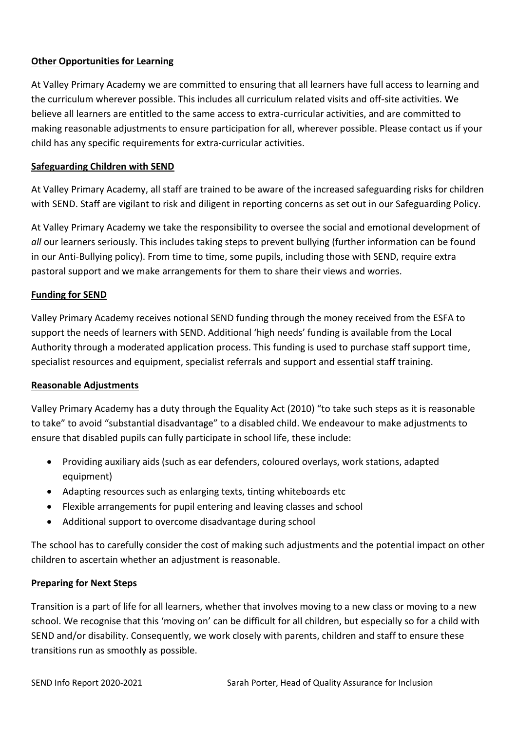# **Other Opportunities for Learning**

At Valley Primary Academy we are committed to ensuring that all learners have full access to learning and the curriculum wherever possible. This includes all curriculum related visits and off-site activities. We believe all learners are entitled to the same access to extra-curricular activities, and are committed to making reasonable adjustments to ensure participation for all, wherever possible. Please contact us if your child has any specific requirements for extra-curricular activities.

# **Safeguarding Children with SEND**

At Valley Primary Academy, all staff are trained to be aware of the increased safeguarding risks for children with SEND. Staff are vigilant to risk and diligent in reporting concerns as set out in our Safeguarding Policy.

At Valley Primary Academy we take the responsibility to oversee the social and emotional development of *all* our learners seriously. This includes taking steps to prevent bullying (further information can be found in our Anti-Bullying policy). From time to time, some pupils, including those with SEND, require extra pastoral support and we make arrangements for them to share their views and worries.

# **Funding for SEND**

Valley Primary Academy receives notional SEND funding through the money received from the ESFA to support the needs of learners with SEND. Additional 'high needs' funding is available from the Local Authority through a moderated application process. This funding is used to purchase staff support time, specialist resources and equipment, specialist referrals and support and essential staff training.

#### **Reasonable Adjustments**

Valley Primary Academy has a duty through the Equality Act (2010) "to take such steps as it is reasonable to take" to avoid "substantial disadvantage" to a disabled child. We endeavour to make adjustments to ensure that disabled pupils can fully participate in school life, these include:

- Providing auxiliary aids (such as ear defenders, coloured overlays, work stations, adapted equipment)
- Adapting resources such as enlarging texts, tinting whiteboards etc
- Flexible arrangements for pupil entering and leaving classes and school
- Additional support to overcome disadvantage during school

The school has to carefully consider the cost of making such adjustments and the potential impact on other children to ascertain whether an adjustment is reasonable.

#### **Preparing for Next Steps**

Transition is a part of life for all learners, whether that involves moving to a new class or moving to a new school. We recognise that this 'moving on' can be difficult for all children, but especially so for a child with SEND and/or disability. Consequently, we work closely with parents, children and staff to ensure these transitions run as smoothly as possible.